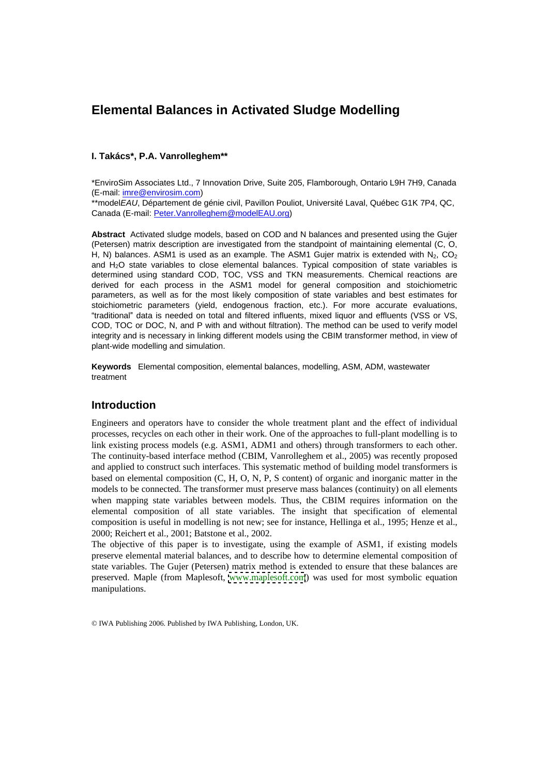# **Elemental Balances in Activated Sludge Modelling**

### **I. Takács\*, P.A. Vanrolleghem\*\***

\*EnviroSim Associates Ltd., 7 Innovation Drive, Suite 205, Flamborough, Ontario L9H 7H9, Canada (E-mail: imre@envirosim.com)

\*\*modelEAU, Département de génie civil, Pavillon Pouliot, Université Laval, Québec G1K 7P4, QC, Canada (E-mail: Peter.Vanrolleghem@modelEAU.org)

**Abstract** Activated sludge models, based on COD and N balances and presented using the Gujer (Petersen) matrix description are investigated from the standpoint of maintaining elemental (C, O, H, N) balances. ASM1 is used as an example. The ASM1 Gujer matrix is extended with  $N_2$ , CO<sub>2</sub> and H2O state variables to close elemental balances. Typical composition of state variables is determined using standard COD, TOC, VSS and TKN measurements. Chemical reactions are derived for each process in the ASM1 model for general composition and stoichiometric parameters, as well as for the most likely composition of state variables and best estimates for stoichiometric parameters (yield, endogenous fraction, etc.). For more accurate evaluations, "traditional" data is needed on total and filtered influents, mixed liquor and effluents (VSS or VS, COD, TOC or DOC, N, and P with and without filtration). The method can be used to verify model integrity and is necessary in linking different models using the CBIM transformer method, in view of plant-wide modelling and simulation.

**Keywords** Elemental composition, elemental balances, modelling, ASM, ADM, wastewater treatment

# **Introduction**

Engineers and operators have to consider the whole treatment plant and the effect of individual processes, recycles on each other in their work. One of the approaches to full-plant modelling is to link existing process models (e.g. ASM1, ADM1 and others) through transformers to each other. The continuity-based interface method (CBIM, Vanrolleghem et al., 2005) was recently proposed and applied to construct such interfaces. This systematic method of building model transformers is based on elemental composition (C, H, O, N, P, S content) of organic and inorganic matter in the models to be connected. The transformer must preserve mass balances (continuity) on all elements when mapping state variables between models. Thus, the CBIM requires information on the elemental composition of all state variables. The insight that specification of elemental composition is useful in modelling is not new; see for instance, Hellinga et al., 1995; Henze et al., 2000; Reichert et al., 2001; Batstone et al., 2002.

The objective of this paper is to investigate, using the example of ASM1, if existing models preserve elemental material balances, and to describe how to determine elemental composition of state variables. The Gujer (Petersen) matrix method is extended to ensure that these balances are preserved. Maple (from Maplesoft, [www.maplesoft.com](http://www.maplesoft.com)) was used for most symbolic equation manipulations.

© IWA Publishing 2006. Published by IWA Publishing, London, UK.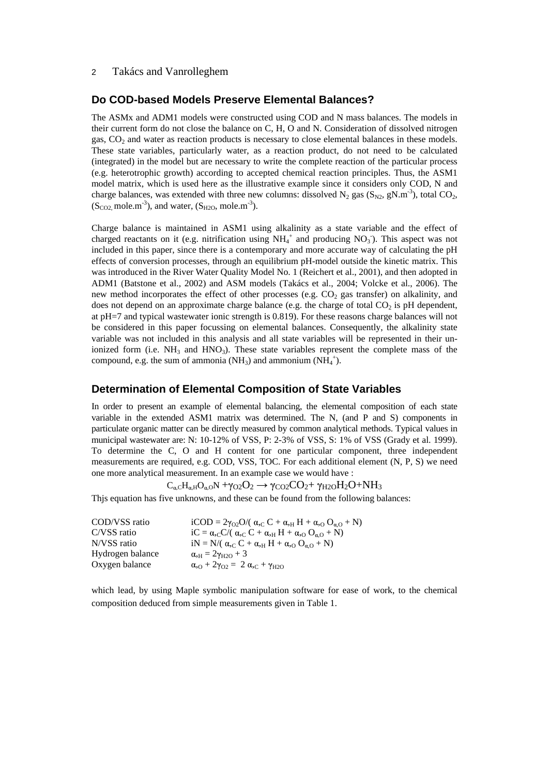### 2 Takács and Vanrolleghem

## **Do COD-based Models Preserve Elemental Balances?**

The ASMx and ADM1 models were constructed using COD and N mass balances. The models in their current form do not close the balance on C, H, O and N. Consideration of dissolved nitrogen gas,  $CO<sub>2</sub>$  and water as reaction products is necessary to close elemental balances in these models. These state variables, particularly water, as a reaction product, do not need to be calculated (integrated) in the model but are necessary to write the complete reaction of the particular process (e.g. heterotrophic growth) according to accepted chemical reaction principles. Thus, the ASM1 model matrix, which is used here as the illustrative example since it considers only COD, N and charge balances, was extended with three new columns: dissolved  $N_2$  gas  $(S_{N2}$ , gN.m<sup>-3</sup>), total CO<sub>2</sub>,  $(S_{CO2}$ , mole.m<sup>-3</sup>), and water,  $(S_{H2O}$ , mole.m<sup>-3</sup>).  $-3$  total CO ), and water,  $(S_{H2O}, \text{mole.m}^{-3})$ . ).

Charge balance is maintained in ASM1 using alkalinity as a state variable and the effect of charged reactants on it (e.g. nitrification using  $NH_4^+$  and producing  $NO_3$ ). This aspect was not ). This aspect was not included in this paper, since there is a contemporary and more accurate way of calculating the pH effects of conversion processes, through an equilibrium pH-model outside the kinetic matrix. This was introduced in the River Water Quality Model No. 1 (Reichert et al., 2001), and then adopted in ADM1 (Batstone et al., 2002) and ASM models (Takács et al., 2004; Volcke et al., 2006). The new method incorporates the effect of other processes (e.g.  $CO<sub>2</sub>$  gas transfer) on alkalinity, and does not depend on an approximate charge balance (e.g. the charge of total  $CO<sub>2</sub>$  is pH dependent, at pH=7 and typical wastewater ionic strength is 0.819). For these reasons charge balances will not be considered in this paper focussing on elemental balances. Consequently, the alkalinity state variable was not included in this analysis and all state variables will be represented in their unionized form (i.e.  $NH_3$  and  $HNO_3$ ). These state variables represent the complete mass of the compound, e.g. the sum of ammonia (NH<sub>3</sub>) and ammonium (NH<sub>4</sub><sup>+</sup>). ).

### **Determination of Elemental Composition of State Variables**

In order to present an example of elemental balancing, the elemental composition of each state variable in the extended ASM1 matrix was determined. The N, (and P and S) components in particulate organic matter can be directly measured by common analytical methods. Typical values in municipal wastewater are: N: 10-12% of VSS, P: 2-3% of VSS, S: 1% of VSS (Grady et al. 1999). To determine the C, O and H content for one particular component, three independent measurements are required, e.g. COD, VSS, TOC. For each additional element (N, P, S) we need one more analytical measurement. In an example case we would have :

 $C_{\alpha,C}H_{\alpha,H}O_{\alpha,O}N + \gamma_{O2}O_2 \rightarrow \gamma_{CO2}CO_2 + \gamma_{H2O}H_2O + NH_3$ 

Thjs equation has five unknowns, and these can be found from the following balances:

| COD/VSS ratio    | iCOD = $2\gamma_{O2}O/(\alpha_{C}C + \alpha_{H}H + \alpha_{O}O_{\alpha_{O}} + N)$ |  |
|------------------|-----------------------------------------------------------------------------------|--|
| C/VSS ratio      | $iC = \alpha_{c}C/(\alpha_{c}C + \alpha_{H}H + \alpha_{o}O_{\alpha,0} + N)$       |  |
| N/VSS ratio      | iN = N/( $\alpha_{,C} C + \alpha_{,H} H + \alpha_{,O} O_{\alpha,O} + N$ )         |  |
| Hydrogen balance | $\alpha_{\text{H}} = 2\gamma_{\text{H2O}} + 3$                                    |  |
| Oxygen balance   | $\alpha_{,O} + 2\gamma_{O2} = 2 \alpha_{,C} + \gamma_{H2O}$                       |  |

which lead, by using Maple symbolic manipulation software for ease of work, to the chemical composition deduced from simple measurements given in Table 1.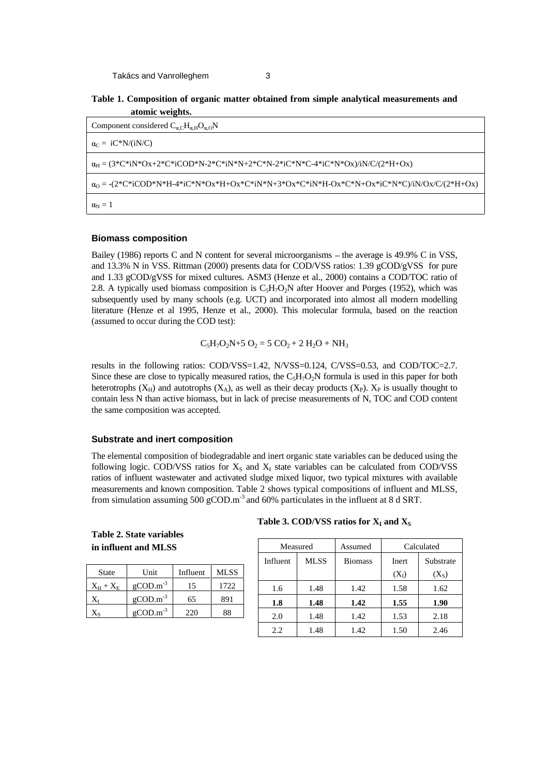

| Component considered $C_{\alpha,C}H_{\alpha,H}O_{\alpha,O}N$                                                                          |
|---------------------------------------------------------------------------------------------------------------------------------------|
| $\alpha_C = iC^*N/(iN/C)$                                                                                                             |
| $\alpha_H = (3 * C * iN * Ox + 2 * C * iCOD * N - 2 * C * iN * N + 2 * C * N - 2 * iC * N * C - 4 * iC * N * Ox) / iN/C/(2 * H + Ox)$ |
|                                                                                                                                       |
| $\alpha_{\rm N}=1$                                                                                                                    |

### **Biomass composition**

Bailey (1986) reports C and N content for several microorganisms – the average is 49.9% C in VSS, and 13.3% N in VSS. Rittman (2000) presents data for COD/VSS ratios: 1.39 gCOD/gVSS for pure and 1.33 gCOD/gVSS for mixed cultures. ASM3 (Henze et al., 2000) contains a COD/TOC ratio of 2.8. A typically used biomass composition is  $C_5H_7O_2N$  after Hoover and Porges (1952), which was subsequently used by many schools (e.g. UCT) and incorporated into almost all modern modelling literature (Henze et al 1995, Henze et al., 2000). This molecular formula, based on the reaction (assumed to occur during the COD test):

$$
C_5H_7O_2N+5O_2 = 5 CO_2 + 2 H_2O + NH_3
$$

results in the following ratios: COD/VSS=1.42, N/VSS=0.124, C/VSS=0.53, and COD/TOC=2.7. Since these are close to typically measured ratios, the  $C_5H_7O_2N$  formula is used in this paper for both heterotrophs  $(X_H)$  and autotrophs  $(X_A)$ , as well as their decay products  $(X_P)$ .  $X_P$  is usually thought to contain less N than active biomass, but in lack of precise measurements of N, TOC and COD content the same composition was accepted.

### **Substrate and inert composition**

The elemental composition of biodegradable and inert organic state variables can be deduced using the following logic. COD/VSS ratios for  $X<sub>S</sub>$  and  $X<sub>I</sub>$  state variables can be calculated from COD/VSS ratios of influent wastewater and activated sludge mixed liquor, two typical mixtures with available measurements and known composition. Table 2 shows typical compositions of influent and MLSS, from simulation assuming 500 gCOD.m<sup>-3</sup> and 60% particulates in the influent at 8 d SRT.

**Table 2. State variables** 

| <b>State</b>          | Unit              | Influent | <b>MLSS</b> |
|-----------------------|-------------------|----------|-------------|
| $X_{\rm H}+X_{\rm E}$ | $g$ COD. $m^{-3}$ | 15       | 1722        |
|                       | $g$ COD. $m^{-3}$ | 65       | 891         |
|                       | $g$ COD. $m^{-3}$ | 220      | 88          |

#### Table 3. COD/VSS ratios for  $X_I$  and  $X_S$ and  $X_S$

| in influent and MLSS                                      | Measured                                   |             | Assumed        |                          | Calculated |
|-----------------------------------------------------------|--------------------------------------------|-------------|----------------|--------------------------|------------|
|                                                           | Influent                                   | <b>MLSS</b> | <b>Biomass</b> | Inert                    | Substrate  |
| <b>MLSS</b><br>Unit<br>Influent<br>State                  |                                            |             |                | $(X_I)$                  | $(X_S)$    |
| $\rm gCOD.m^{-3}$<br>1722<br>$X_H + X_E$ gCOI<br><b>L</b> | 1.6                                        | 1.48        | 1.42           | 158<br>$\cdot\cdot\cdot$ | 1.62       |
| $g$ COD. $m^{-3}$<br>- -<br>891<br>-65                    | 1.8                                        | 1.48        | 1.42           | 1.55                     | 1.90       |
| $g$ COD. $m^{-3}$<br>220<br>88<br>$\sim$ $\sim$           | 2.0                                        | 1.48        | 1.42           | 1.53                     | 2.18       |
|                                                           | $\bigcap$<br>$\mathcal{L}$ . $\mathcal{L}$ | 1.48        | 1.42           | 150<br>$\cdots$          | 2.46       |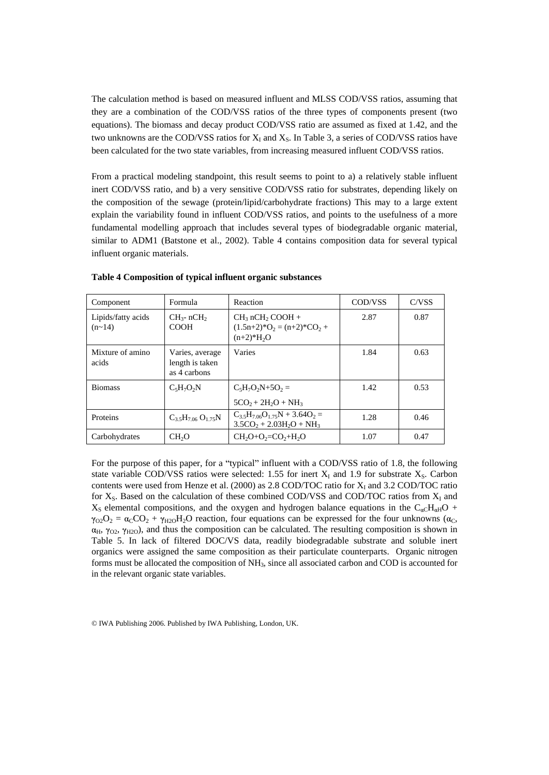The calculation method is based on measured influent and MLSS COD/VSS ratios, assuming that they are a combination of the COD/VSS ratios of the three types of components present (two equations). The biomass and decay product COD/VSS ratio are assumed as fixed at 1.42, and the two unknowns are the COD/VSS ratios for  $X_1$  and  $X_5$ . In Table 3, a series of COD/VSS ratios have been calculated for the two state variables, from increasing measured influent COD/VSS ratios.

From a practical modeling standpoint, this result seems to point to a) a relatively stable influent inert COD/VSS ratio, and b) a very sensitive COD/VSS ratio for substrates, depending likely on the composition of the sewage (protein/lipid/carbohydrate fractions) This may to a large extent explain the variability found in influent COD/VSS ratios, and points to the usefulness of a more fundamental modelling approach that includes several types of biodegradable organic material, similar to ADM1 (Batstone et al., 2002). Table 4 contains composition data for several typical influent organic materials.

| Component                           | Formula                                                   | Reaction                                                                                           | COD/VSS | C/VSS |
|-------------------------------------|-----------------------------------------------------------|----------------------------------------------------------------------------------------------------|---------|-------|
| Lipids/fatty acids<br>$(n \sim 14)$ | $CH_3$ - nCH <sub>2</sub><br><b>COOH</b>                  | $CH_3 nCH_2 COOH +$<br>$(1.5n+2)*O2 = (n+2)*CO2 +$<br>$(n+2)*H2O$                                  | 2.87    | 0.87  |
| Mixture of amino<br>acids           | Varies, average Varies<br>length is taken<br>as 4 carbons |                                                                                                    | 1.84    | 0.63  |
| <b>Biomass</b>                      | $C_5H_7O_2N$                                              | $C_5H_7O_2N+5O_2 =$<br>$5CO_2 + 2H_2O + NH_3$                                                      | 1.42    | 0.53  |
| Proteins                            | $C_{3.5}H_{7.06}O_{1.75}N$                                | $\begin{array}{c}\nC_{3.5}H_{7.06}O_{1.75}N + 3.64O_2 = \\ 3.5CO_2 + 2.03H_2O + NH_3\n\end{array}$ | 1.28    | 0.46  |
| Carbohydrates                       | CH <sub>2</sub> O                                         | $CH_2O+O_2=CO_2+H_2O$                                                                              | 1.07    | 0.47  |

**Table 4 Composition of typical influent organic substances**

For the purpose of this paper, for a "typical" influent with a COD/VSS ratio of 1.8, the following state variable COD/VSS ratios were selected: 1.55 for inert  $X<sub>I</sub>$  and 1.9 for substrate  $X<sub>S</sub>$ . Carbon contents were used from Henze et al.  $(2000)$  as 2.8 COD/TOC ratio for  $X_I$  and 3.2 COD/TOC ratio for  $X_S$ . Based on the calculation of these combined COD/VSS and COD/TOC ratios from  $X_I$  and  $X<sub>S</sub>$  elemental compositions, and the oxygen and hydrogen balance equations in the C<sub>oC</sub>H<sub>oH</sub>O +  $\gamma_{O2}O_2 = \alpha_C CO_2 + \gamma_{H2O}H_2O$  reaction, four equations can be expressed for the four unknowns ( $\alpha_C$ ,  $\alpha_H$ ,  $\gamma_{O2}$ ,  $\gamma_{H2O}$ ), and thus the composition can be calculated. The resulting composition is shown in Table 5. In lack of filtered DOC/VS data, readily biodegradable substrate and soluble inert organics were assigned the same composition as their particulate counterparts. Organic nitrogen forms must be allocated the composition of NH3, since all associated carbon and COD is accounted for in the relevant organic state variables.

© IWA Publishing 2006. Published by IWA Publishing, London, UK.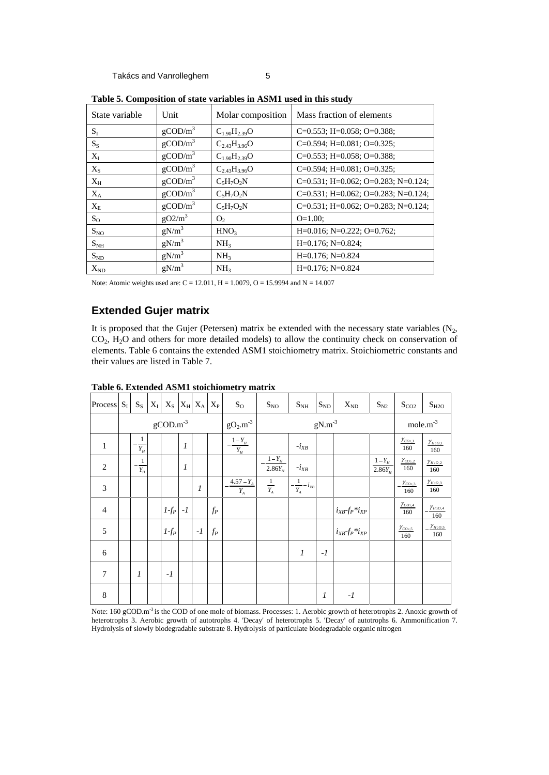| State variable            | Unit                   |                          | Molar composition   Mass fraction of elements       |
|---------------------------|------------------------|--------------------------|-----------------------------------------------------|
|                           | $g$ COD/m <sup>3</sup> | $C_{1.90}H_{2.39}O$      | $C=0.553$ ; H=0.058; O=0.388;                       |
|                           | $g$ COD/m <sup>3</sup> | $\rm{C_{2.43}H_{3.96}O}$ | $C=0.594$ ; H=0.081; O=0.325;                       |
|                           | $g$ COD/m <sup>3</sup> | $C_{1.90}H_{2.39}O$      | $C=0.553$ ; H=0.058; O=0.388;                       |
| $\Lambda_{\rm S}$         | $g$ COD/m <sup>3</sup> | $C_{2.43}H_{3.96}O$      | $\vert$ C=0.594; H=0.081; O=0.325;                  |
| $\Lambda_{\rm H}$         | $g$ COD/m <sup>3</sup> | $C_5H_7O_2N$             | $\vert$ C=0.531; H=0.062; O=0.283; N=0.124; $\vert$ |
| $\mathbf{A}_{\mathbf{A}}$ | $g$ COD/m <sup>3</sup> | $C_5H_7O_2N$             | $C=0.531$ ; H=0.062; O=0.283; N=0.124;              |
| $\mathbf{A}_{\rm E}$      | $g$ COD/m <sup>3</sup> | $C_5H_7O_2N$             | $C=0.531$ ; H=0.062; O=0.283; N=0.124;              |
| $\mathbf{a}_0$            | $gO2/m^3$              |                          | $O=1.00;$                                           |
| $S_{NO}$                  | $gN/m^3$               | HNO <sub>3</sub>         | $H=0.016$ ; N=0.222; O=0.762;                       |
| $S_{NH}$                  | $gN/m^3$               | NH.                      | $H=0.176; N=0.824;$                                 |
| $S_{ND}$                  | g $N/m^3$              |                          | $H=0.176; N=0.824$                                  |
| $\rm X_{ND}$              | $gN/m^3$               | NH <sub>3</sub>          | $H=0.176; N=0.824$                                  |

**Table 5. Composition of state variables in ASM1 used in this study**

Note: Atomic weights used are: C = 12.011, H = 1.0079, O = 15.9994 and N = 14.007

# **Extended Gujer matrix**

It is proposed that the Gujer (Petersen) matrix be extended with the necessary state variables ( $N_2$ ,  $CO_2$ ,  $H_2O$  and others for more detailed models) to allow the continuity check on conservation of elements. Table 6 contains the extended ASM1 stoichiometry matrix. Stoichiometric constants and their values are listed in Table 7.

|        | Process $S_I$ $S_S$ $X_I$ $X_S$ $X_H$ $X_A$ $X_P$ |                   |            | $\mathbf{p}_0$                | $S_{NO}$                                                                                                                                                                                                                                                                                                            | $S_{NH}$ $S_{ND}$                                                                                                                                                                                                                    | $X_{\rm ND}$              | $S_{N2}$ $S_{CO2}$ $S_{H2O}$                                                                                                                                                           |                           |
|--------|---------------------------------------------------|-------------------|------------|-------------------------------|---------------------------------------------------------------------------------------------------------------------------------------------------------------------------------------------------------------------------------------------------------------------------------------------------------------------|--------------------------------------------------------------------------------------------------------------------------------------------------------------------------------------------------------------------------------------|---------------------------|----------------------------------------------------------------------------------------------------------------------------------------------------------------------------------------|---------------------------|
|        |                                                   | $g$ COD. $m^{-3}$ |            | $gO2.m-3$                     |                                                                                                                                                                                                                                                                                                                     | $gN.m^{-3}$                                                                                                                                                                                                                          |                           | mole. $m^{-3}$                                                                                                                                                                         |                           |
|        |                                                   |                   |            | —— <u>"</u>                   |                                                                                                                                                                                                                                                                                                                     |                                                                                                                                                                                                                                      |                           | $\frac{\gamma_{CO_{2,1}}}{160}$ $\frac{\gamma_{H_{2O,1}}}{160}$<br><u> La Carlo de Carlo de Carlo de Carlo de Carlo de Carlo de Carlo de Carlo de Carlo de Carlo de Carlo de Carlo</u> |                           |
|        |                                                   |                   |            |                               | $2.86Y_H$                                                                                                                                                                                                                                                                                                           | $-UVI$                                                                                                                                                                                                                               |                           | $\frac{1-Y_H}{2.86Y_H}$ $\frac{\gamma_{CO2,2}}{160}$ $\frac{\gamma_{H2O,2}}{160}$<br>the contract of the contract of                                                                   |                           |
|        |                                                   |                   |            | $4.57 - Y$ .<br>$\frac{m}{4}$ | $\frac{1}{2}$ $\frac{1}{2}$ $\frac{1}{2}$ $\frac{1}{2}$ $\frac{1}{2}$ $\frac{1}{2}$ $\frac{1}{2}$ $\frac{1}{2}$ $\frac{1}{2}$ $\frac{1}{2}$ $\frac{1}{2}$ $\frac{1}{2}$ $\frac{1}{2}$ $\frac{1}{2}$ $\frac{1}{2}$ $\frac{1}{2}$ $\frac{1}{2}$ $\frac{1}{2}$ $\frac{1}{2}$ $\frac{1}{2}$ $\frac{1}{2}$ $\frac{1}{2}$ |                                                                                                                                                                                                                                      |                           | $-\frac{\gamma_{CO_{2,3}}}{160}$ $\frac{\gamma_{H_{2O,3}}}{160}$                                                                                                                       |                           |
|        |                                                   |                   |            | IP                            | the contract of the contract of                                                                                                                                                                                                                                                                                     | the contract of the contract of                                                                                                                                                                                                      | $i_{XB}$ - $f_P * i_{XP}$ | — <del>—————————</del><br>$\frac{\gamma_{CO_2,4}}{160}$ $-\frac{\gamma_{H_2O,4}}{160}$<br>160<br>$160$ 160                                                                             |                           |
|        |                                                   |                   | $-I$ $f_P$ |                               |                                                                                                                                                                                                                                                                                                                     | ______                                                                                                                                                                                                                               | $i_{XB}$ - $f_P * i_{XP}$ | $\frac{\sqrt{CO_2}}{5}$<br>160                                                                                                                                                         | $-\frac{V_{H_2O,5}}{160}$ |
|        |                                                   |                   |            |                               |                                                                                                                                                                                                                                                                                                                     | <u> Andreas Andreas Andreas Andreas Andreas Andreas Andreas Andreas Andreas Andreas Andreas Andreas Andreas Andreas Andreas Andreas Andreas Andreas Andreas Andreas Andreas Andreas Andreas Andreas Andreas Andreas Andreas Andr</u> |                           |                                                                                                                                                                                        |                           |
| $\sim$ |                                                   | $\vert -l \vert$  |            |                               |                                                                                                                                                                                                                                                                                                                     |                                                                                                                                                                                                                                      |                           |                                                                                                                                                                                        |                           |
|        |                                                   |                   |            |                               |                                                                                                                                                                                                                                                                                                                     |                                                                                                                                                                                                                                      |                           |                                                                                                                                                                                        |                           |

Note: 160 gCOD.m<sup>-3</sup> is the COD of one mole of biomass. Processes: 1. Aerobic growth of heterotrophs 2. Anoxic growth of heterotrophs 3. Aerobic growth of autotrophs 4. 'Decay' of heterotrophs 5. 'Decay' of autotrophs 6. Ammonification 7. Hydrolysis of slowly biodegradable substrate 8. Hydrolysis of particulate biodegradable organic nitrogen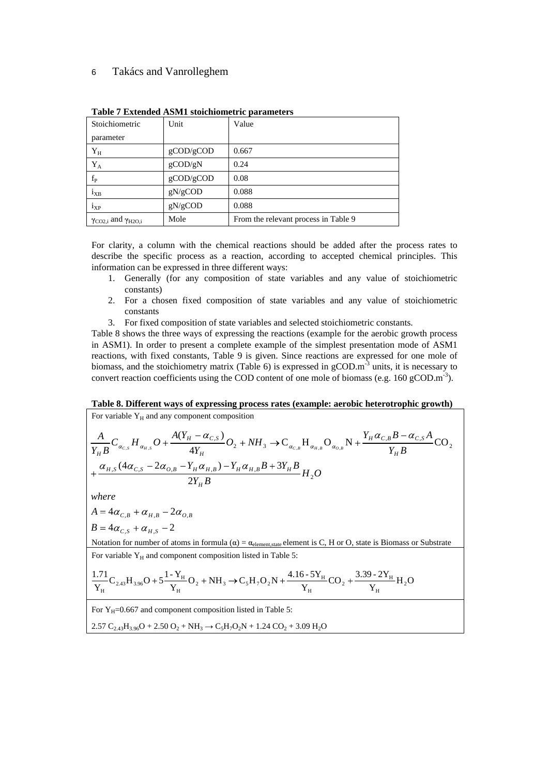### 6 Takács and Vanrolleghem

| Stoichiometric                        | Unit             | Value                                |
|---------------------------------------|------------------|--------------------------------------|
| parameter                             |                  |                                      |
|                                       | $g$ COD/ $g$ COD | 0.667                                |
|                                       | $g$ COD/gN       | 0.24                                 |
|                                       | $g$ COD/ $g$ COD | 0.08                                 |
| <sup>1</sup> XB                       | gN/gCOD          | 0.088                                |
| $\mathbf{I}_{\mathbf{X}\mathbf{P}}$   | gN/gCOD          | 0.088                                |
| $\gamma_{CO2,i}$ and $\gamma_{H2O,i}$ | Mole             | From the relevant process in Table 9 |

**Table 7 Extended ASM1 stoichiometric parameters**

For clarity, a column with the chemical reactions should be added after the process rates to describe the specific process as a reaction, according to accepted chemical principles. This information can be expressed in three different ways:

- 1. Generally (for any composition of state variables and any value of stoichiometric constants) and  $\overline{a}$  and  $\overline{b}$  and  $\overline{c}$  and  $\overline{c}$  and  $\overline{c}$  and  $\overline{c}$  and  $\overline{c}$  and  $\overline{c}$  and  $\overline{c}$  and  $\overline{c}$  and  $\overline{c}$  and  $\overline{c}$  and  $\overline{c}$  and  $\overline{c}$  and  $\overline{c}$  and  $\overline{c}$  and
- 2. For a chosen fixed composition of state variables and any value of stoichiometric constants and the constants of the constants of the constants of the constants of the constants of the constants of the constants of the constants of the constants of the constants of the constants of the constants of the
- 3. For fixed composition of state variables and selected stoichiometric constants.

Table 8 shows the three ways of expressing the reactions (example for the aerobic growth process in ASM1). In order to present a complete example of the simplest presentation mode of ASM1 reactions, with fixed constants, Table 9 is given. Since reactions are expressed for one mole of biomass, and the stoichiometry matrix (Table 6) is expressed in  $g$ COD. $m<sup>3</sup>$  units, it is necessary to  $-3$  unite it is noonegaty to units, it is necessary to convert reaction coefficients using the COD content of one mole of biomass (e.g. 160 gCOD.m<sup>-3</sup>). ).

**Table 8. Different ways of expressing process rates (example: aerobic heterotrophic growth)**

For variable  $Y_H$  and any component composition

$$
\frac{A}{Y_{H}B}C_{\alpha_{C,S}}H_{\alpha_{H,S}}O + \frac{A(Y_{H} - \alpha_{C,S})}{4Y_{H}}O_{2} + NH_{3} \rightarrow C_{\alpha_{C,B}}H_{\alpha_{H,B}}O_{\alpha_{O,B}}N + \frac{Y_{H}\alpha_{C,B}B - \alpha_{C,S}A}{Y_{H}B}CO_{2} + \frac{\alpha_{H,S}(4\alpha_{C,S} - 2\alpha_{O,B} - Y_{H}\alpha_{H,B}) - Y_{H}\alpha_{H,B}B + 3Y_{H}B}{2Y_{H}B}H_{2}O
$$
\nwhere\n
$$
A = 4\alpha_{C,B} + \alpha_{H,B} - 2\alpha_{O,B}
$$
\n
$$
B = 4\alpha_{C,S} + \alpha_{H,S} - 2
$$

*where*

$$
A = 4\alpha_{C,B} + \alpha_{H,B} - 2\alpha_{O,B}
$$
  

$$
B = 4\alpha_{C,S} + \alpha_{H,S} - 2
$$

Notation for number of atoms in formula  $(\alpha) = \alpha_{\text{element,state}}$  element is C, H or O, state is Biomass or Substrate For variable  $Y_H$  and component composition listed in Table 5:

$$
\frac{1.71}{Y_{H}}C_{2.43}H_{3.96}O + 5\frac{1-Y_{H}}{Y_{H}}O_{2} + NH_{3} \rightarrow C_{5}H_{7}O_{2}N + \frac{4.16-5Y_{H}}{Y_{H}}CO_{2} + \frac{3.39-2Y_{H}}{Y_{H}}H_{2}O
$$

For  $Y_H$ =0.667 and component composition listed in Table 5:

 $2.57 \text{ C}_{2.43} \text{H}_{3.96} \text{O} + 2.50 \text{ O}_2 + \text{NH}_3 \rightarrow \text{C}_5 \text{H}_7\text{O}_2 \text{N} + 1.24 \text{ CO}_2 + 3.09 \text{ H}_2 \text{O}$  $+ 3.09 \text{ H}_2\text{O}$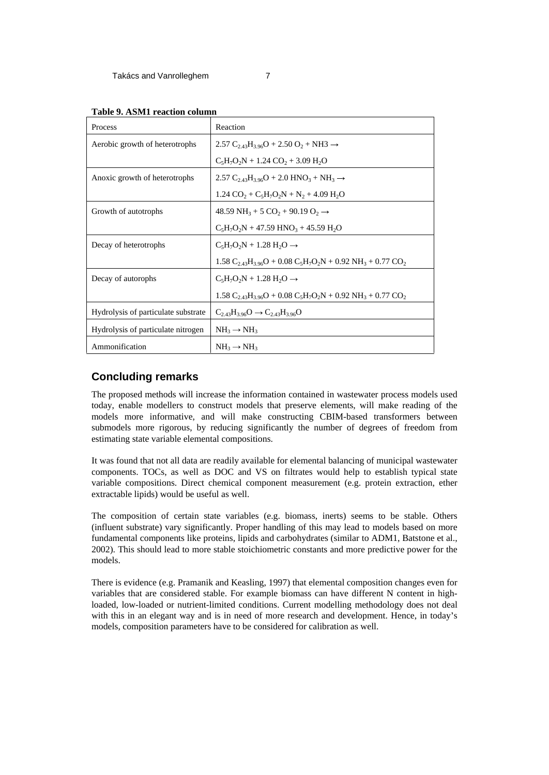| Table 9. ASM1 reaction column |  |  |  |  |
|-------------------------------|--|--|--|--|
|                               |  |  |  |  |

| Process                                                                                                                                                                                   | Reaction                                                                                             |
|-------------------------------------------------------------------------------------------------------------------------------------------------------------------------------------------|------------------------------------------------------------------------------------------------------|
| Aerobic growth of heterotrophs                                                                                                                                                            | 2.57 C <sub>2.43</sub> H <sub>3.96</sub> O + 2.50 O <sub>2</sub> + NH3 $\rightarrow$                 |
|                                                                                                                                                                                           | $C_5H_7O_2N + 1.24 CO_2 + 3.09 H_2O$                                                                 |
| Anoxic growth of heterotrophs                                                                                                                                                             | 2.57 C <sub>2.43</sub> H <sub>3.96</sub> O + 2.0 HNO <sub>3</sub> + NH <sub>3</sub> $\rightarrow$    |
|                                                                                                                                                                                           | $1.24 \text{ CO}_2 + \text{C}_5\text{H}_7\text{O}_2\text{N} + \text{N}_2 + 4.09 \text{ H}_2\text{O}$ |
| Growth of autotrophs                                                                                                                                                                      | 48.59 NH <sub>3</sub> + 5 CO <sub>2</sub> + 90.19 O <sub>2</sub> $\rightarrow$                       |
|                                                                                                                                                                                           | $C_5H_7O_2N + 47.59$ HNO <sub>3</sub> + 45.59 H <sub>2</sub> O                                       |
| Decay of heterotrophs                                                                                                                                                                     | $C_5H_7O_2N + 1.28H_2O \rightarrow$                                                                  |
|                                                                                                                                                                                           | 1.58 $C_{2.43}H_{3.96}O + 0.08 C_5H_7O_2N + 0.92 NH_3 + 0.77 CO_2$                                   |
| Decay of autorophs                                                                                                                                                                        | $C_5H_7O_2N + 1.28H_2O \rightarrow$                                                                  |
|                                                                                                                                                                                           | 1.58 $C_{2.43}H_{3.96}O + 0.08 C_5H_7O_2N + 0.92 NH_3 + 0.77 CO_2$                                   |
| Hydrolysis of particulate substrate $\begin{array}{c} \begin{array}{c} \text{C}_{2.43}\text{H}_{3.96}\text{O} \rightarrow \text{C}_{2.43}\text{H}_{3.96}\text{O} \end{array} \end{array}$ |                                                                                                      |
| Hydrolysis of particulate nitrogen $N_{3} \rightarrow N_{3}$                                                                                                                              |                                                                                                      |
| Ammonification                                                                                                                                                                            | $NH_3 \rightarrow NH_3$                                                                              |

## **Concluding remarks**

The proposed methods will increase the information contained in wastewater process models used today, enable modellers to construct models that preserve elements, will make reading of the models more informative, and will make constructing CBIM-based transformers between submodels more rigorous, by reducing significantly the number of degrees of freedom from estimating state variable elemental compositions.

It was found that not all data are readily available for elemental balancing of municipal wastewater components. TOCs, as well as DOC and VS on filtrates would help to establish typical state variable compositions. Direct chemical component measurement (e.g. protein extraction, ether extractable lipids) would be useful as well.

The composition of certain state variables (e.g. biomass, inerts) seems to be stable. Others (influent substrate) vary significantly. Proper handling of this may lead to models based on more fundamental components like proteins, lipids and carbohydrates (similar to ADM1, Batstone et al., 2002). This should lead to more stable stoichiometric constants and more predictive power forthe models.

There is evidence (e.g. Pramanik and Keasling, 1997) that elemental composition changes even for variables that are considered stable. For example biomass can have different N content in highloaded, low-loaded or nutrient-limited conditions. Current modelling methodology does not deal with this in an elegant way and is in need of more research and development. Hence, in today's models, composition parameters have to be considered for calibration as well.